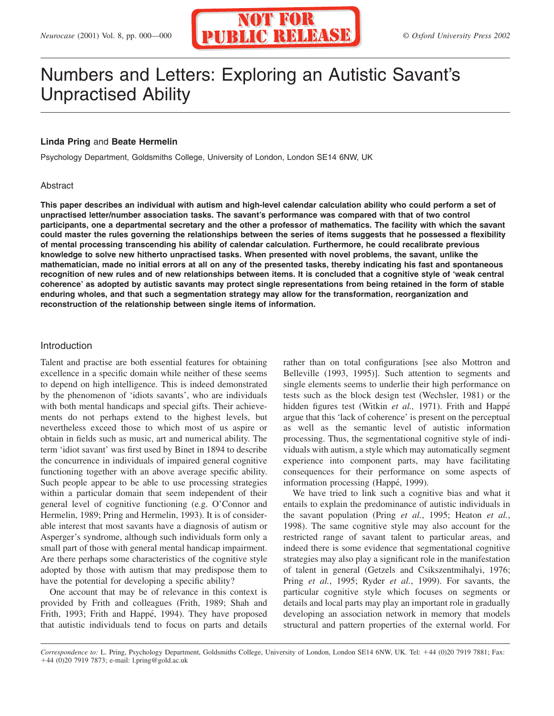

# Numbers and Letters: Exploring an Autistic Savant's Unpractised Ability

## **Linda Pring** and **Beate Hermelin**

Psychology Department, Goldsmiths College, University of London, London SE14 6NW, UK

#### Abstract

**This paper describes an individual with autism and high-level calendar calculation ability who could perform a set of unpractised letter/number association tasks. The savant's performance was compared with that of two control participants, one a departmental secretary and the other a professor of mathematics. The facility with which the savant could master the rules governing the relationships between the series of items suggests that he possessed a flexibility of mental processing transcending his ability of calendar calculation. Furthermore, he could recalibrate previous knowledge to solve new hitherto unpractised tasks. When presented with novel problems, the savant, unlike the mathematician, made no initial errors at all on any of the presented tasks, thereby indicating his fast and spontaneous recognition of new rules and of new relationships between items. It is concluded that a cognitive style of 'weak central coherence' as adopted by autistic savants may protect single representations from being retained in the form of stable enduring wholes, and that such a segmentation strategy may allow for the transformation, reorganization and reconstruction of the relationship between single items of information.**

#### Introduction

Talent and practise are both essential features for obtaining excellence in a specific domain while neither of these seems to depend on high intelligence. This is indeed demonstrated by the phenomenon of 'idiots savants', who are individuals with both mental handicaps and special gifts. Their achievements do not perhaps extend to the highest levels, but nevertheless exceed those to which most of us aspire or obtain in fields such as music, art and numerical ability. The term 'idiot savant' was first used by Binet in 1894 to describe the concurrence in individuals of impaired general cognitive functioning together with an above average specific ability. Such people appear to be able to use processing strategies within a particular domain that seem independent of their general level of cognitive functioning (e.g. O'Connor and Hermelin, 1989; Pring and Hermelin, 1993). It is of considerable interest that most savants have a diagnosis of autism or Asperger's syndrome, although such individuals form only a small part of those with general mental handicap impairment. Are there perhaps some characteristics of the cognitive style adopted by those with autism that may predispose them to have the potential for developing a specific ability?

One account that may be of relevance in this context is provided by Frith and colleagues (Frith, 1989; Shah and Frith, 1993; Frith and Happé, 1994). They have proposed that autistic individuals tend to focus on parts and details

rather than on total configurations [see also Mottron and Belleville (1993, 1995)]. Such attention to segments and single elements seems to underlie their high performance on tests such as the block design test (Wechsler, 1981) or the hidden figures test (Witkin et al., 1971). Frith and Happé argue that this 'lack of coherence' is present on the perceptual as well as the semantic level of autistic information processing. Thus, the segmentational cognitive style of individuals with autism, a style which may automatically segment experience into component parts, may have facilitating consequences for their performance on some aspects of information processing (Happé, 1999).

We have tried to link such a cognitive bias and what it entails to explain the predominance of autistic individuals in the savant population (Pring *et al.*, 1995; Heaton *et al.*, 1998). The same cognitive style may also account for the restricted range of savant talent to particular areas, and indeed there is some evidence that segmentational cognitive strategies may also play a significant role in the manifestation of talent in general (Getzels and Csikszentmihalyi, 1976; Pring *et al.*, 1995; Ryder *et al.*, 1999). For savants, the particular cognitive style which focuses on segments or details and local parts may play an important role in gradually developing an association network in memory that models structural and pattern properties of the external world. For

*Correspondence to:* L. Pring, Psychology Department, Goldsmiths College, University of London, London SE14 6NW, UK. Tel: 44 (0)20 7919 7881; Fax: 44 (0)20 7919 7873; e-mail: l.pring@gold.ac.uk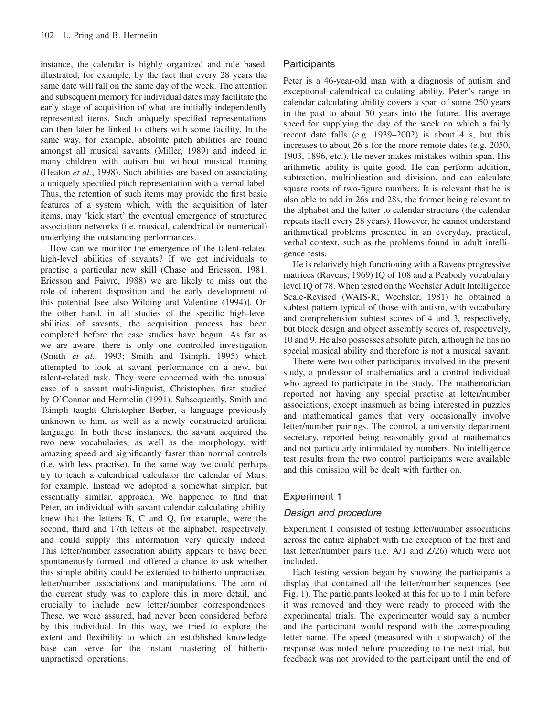instance, the calendar is highly organized and rule based, illustrated, for example, by the fact that every 28 years the same date will fall on the same day of the week. The attention and subsequent memory for individual dates may facilitate the early stage of acquisition of what are initially independently represented items. Such uniquely specified representations can then later be linked to others with some facility. In the same way, for example, absolute pitch abilities are found amongst all musical savants (Miller, 1989) and indeed in many children with autism but without musical training (Heaton *et al.*, 1998). Such abilities are based on associating a uniquely specified pitch representation with a verbal label. Thus, the retention of such items may provide the first basic features of a system which, with the acquisition of later items, may 'kick start' the eventual emergence of structured association networks (i.e. musical, calendrical or numerical) underlying the outstanding performances.

How can we monitor the emergence of the talent-related high-level abilities of savants? If we get individuals to practise a particular new skill (Chase and Ericsson, 1981; Ericsson and Faivre, 1988) we are likely to miss out the role of inherent disposition and the early development of this potential [see also Wilding and Valentine (1994)]. On the other hand, in all studies of the specific high-level abilities of savants, the acquisition process has been completed before the case studies have begun. As far as we are aware, there is only one controlled investigation (Smith *et al.*, 1993; Smith and Tsimpli, 1995) which attempted to look at savant performance on a new, but talent-related task. They were concerned with the unusual case of a savant multi-linguist, Christopher, first studied by O'Connor and Hermelin (1991). Subsequently, Smith and Tsimpli taught Christopher Berber, a language previously unknown to him, as well as a newly constructed artificial language. In both these instances, the savant acquired the two new vocabularies, as well as the morphology, with amazing speed and significantly faster than normal controls (i.e. with less practise). In the same way we could perhaps try to teach a calendrical calculator the calendar of Mars, for example. Instead we adopted a somewhat simpler, but essentially similar, approach. We happened to find that Peter, an individual with savant calendar calculating ability, knew that the letters B, C and Q, for example, were the second, third and 17th letters of the alphabet, respectively, and could supply this information very quickly indeed. This letter/number association ability appears to have been spontaneously formed and offered a chance to ask whether this simple ability could be extended to hitherto unpractised letter/number associations and manipulations. The aim of the current study was to explore this in more detail, and crucially to include new letter/number correspondences. These, we were assured, had never been considered before by this individual. In this way, we tried to explore the extent and flexibility to which an established knowledge base can serve for the instant mastering of hitherto unpractised operations.

## **Participants**

Peter is a 46-year-old man with a diagnosis of autism and exceptional calendrical calculating ability. Peter's range in calendar calculating ability covers a span of some 250 years in the past to about 50 years into the future. His average speed for supplying the day of the week on which a fairly recent date falls (e.g. 1939–2002) is about 4 s, but this increases to about 26 s for the more remote dates (e.g. 2050, 1903, 1896, etc.). He never makes mistakes within span. His arithmetic ability is quite good. He can perform addition, subtraction, multiplication and division, and can calculate square roots of two-figure numbers. It is relevant that he is also able to add in 26s and 28s, the former being relevant to the alphabet and the latter to calendar structure (the calendar repeats itself every 28 years). However, he cannot understand arithmetical problems presented in an everyday, practical, verbal context, such as the problems found in adult intelligence tests.

He is relatively high functioning with a Ravens progressive matrices (Ravens, 1969) IQ of 108 and a Peabody vocabulary level IQ of 78. When tested on the Wechsler Adult Intelligence Scale-Revised (WAIS-R; Wechsler, 1981) he obtained a subtest pattern typical of those with autism, with vocabulary and comprehension subtest scores of 4 and 3, respectively, but block design and object assembly scores of, respectively, 10 and 9. He also possesses absolute pitch, although he has no special musical ability and therefore is not a musical savant.

There were two other participants involved in the present study, a professor of mathematics and a control individual who agreed to participate in the study. The mathematician reported not having any special practise at letter/number associations, except inasmuch as being interested in puzzles and mathematical games that very occasionally involve letter/number pairings. The control, a university department secretary, reported being reasonably good at mathematics and not particularly intimidated by numbers. No intelligence test results from the two control participants were available and this omission will be dealt with further on.

# Experiment 1

# *Design and procedure*

Experiment 1 consisted of testing letter/number associations across the entire alphabet with the exception of the first and last letter/number pairs (i.e. A/1 and Z/26) which were not included.

Each testing session began by showing the participants a display that contained all the letter/number sequences (see Fig. 1). The participants looked at this for up to 1 min before it was removed and they were ready to proceed with the experimental trials. The experimenter would say a number and the participant would respond with the corresponding letter name. The speed (measured with a stopwatch) of the response was noted before proceeding to the next trial, but feedback was not provided to the participant until the end of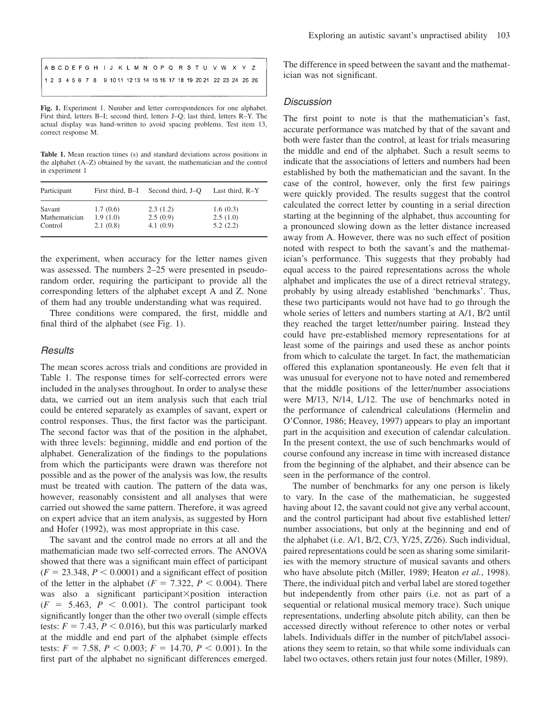**Fig. 1.** Experiment 1. Number and letter correspondences for one alphabet. First third, letters B–I; second third, letters J–Q; last third, letters R–Y. The actual display was hand-written to avoid spacing problems. Test item 13, correct response M.

Table 1. Mean reaction times (s) and standard deviations across positions in the alphabet (A–Z) obtained by the savant, the mathematician and the control in experiment 1

| Participant   | First third, B-I | Second third, J–O | Last third, R-Y |
|---------------|------------------|-------------------|-----------------|
| Savant        | 1.7(0.6)         | 2.3(1.2)          | 1.6(0.3)        |
| Mathematician | 1.9(1.0)         | 2.5(0.9)          | 2.5(1.0)        |
| Control       | 2.1(0.8)         | 4.1(0.9)          | 5.2(2.2)        |

the experiment, when accuracy for the letter names given was assessed. The numbers 2–25 were presented in pseudorandom order, requiring the participant to provide all the corresponding letters of the alphabet except A and Z. None of them had any trouble understanding what was required.

Three conditions were compared, the first, middle and final third of the alphabet (see Fig. 1).

#### *Results*

The mean scores across trials and conditions are provided in Table 1. The response times for self-corrected errors were included in the analyses throughout. In order to analyse these data, we carried out an item analysis such that each trial could be entered separately as examples of savant, expert or control responses. Thus, the first factor was the participant. The second factor was that of the position in the alphabet, with three levels: beginning, middle and end portion of the alphabet. Generalization of the findings to the populations from which the participants were drawn was therefore not possible and as the power of the analysis was low, the results must be treated with caution. The pattern of the data was, however, reasonably consistent and all analyses that were carried out showed the same pattern. Therefore, it was agreed on expert advice that an item analysis, as suggested by Horn and Hofer (1992), was most appropriate in this case.

The savant and the control made no errors at all and the mathematician made two self-corrected errors. The ANOVA showed that there was a significant main effect of participant  $(F = 23.348, P < 0.0001)$  and a significant effect of position of the letter in the alphabet  $(F = 7.322, P \le 0.004)$ . There was also a significant participant×position interaction  $(F = 5.463, P < 0.001)$ . The control participant took significantly longer than the other two overall (simple effects tests:  $F = 7.43$ ,  $P < 0.016$ ), but this was particularly marked at the middle and end part of the alphabet (simple effects tests:  $F = 7.58$ ,  $P < 0.003$ ;  $F = 14.70$ ,  $P < 0.001$ ). In the first part of the alphabet no significant differences emerged.

The difference in speed between the savant and the mathematician was not significant.

## *Discussion*

The first point to note is that the mathematician's fast, accurate performance was matched by that of the savant and both were faster than the control, at least for trials measuring the middle and end of the alphabet. Such a result seems to indicate that the associations of letters and numbers had been established by both the mathematician and the savant. In the case of the control, however, only the first few pairings were quickly provided. The results suggest that the control calculated the correct letter by counting in a serial direction starting at the beginning of the alphabet, thus accounting for a pronounced slowing down as the letter distance increased away from A. However, there was no such effect of position noted with respect to both the savant's and the mathematician's performance. This suggests that they probably had equal access to the paired representations across the whole alphabet and implicates the use of a direct retrieval strategy, probably by using already established 'benchmarks'. Thus, these two participants would not have had to go through the whole series of letters and numbers starting at A/1, B/2 until they reached the target letter/number pairing. Instead they could have pre-established memory representations for at least some of the pairings and used these as anchor points from which to calculate the target. In fact, the mathematician offered this explanation spontaneously. He even felt that it was unusual for everyone not to have noted and remembered that the middle positions of the letter/number associations were M/13, N/14, L/12. The use of benchmarks noted in the performance of calendrical calculations (Hermelin and O'Connor, 1986; Heavey, 1997) appears to play an important part in the acquisition and execution of calendar calculation. In the present context, the use of such benchmarks would of course confound any increase in time with increased distance from the beginning of the alphabet, and their absence can be seen in the performance of the control.

The number of benchmarks for any one person is likely to vary. In the case of the mathematician, he suggested having about 12, the savant could not give any verbal account, and the control participant had about five established letter/ number associations, but only at the beginning and end of the alphabet (i.e. A/1, B/2, C/3, Y/25, Z/26). Such individual, paired representations could be seen as sharing some similarities with the memory structure of musical savants and others who have absolute pitch (Miller, 1989; Heaton *et al.*, 1998). There, the individual pitch and verbal label are stored together but independently from other pairs (i.e. not as part of a sequential or relational musical memory trace). Such unique representations, underling absolute pitch ability, can then be accessed directly without reference to other notes or verbal labels. Individuals differ in the number of pitch/label associations they seem to retain, so that while some individuals can label two octaves, others retain just four notes (Miller, 1989).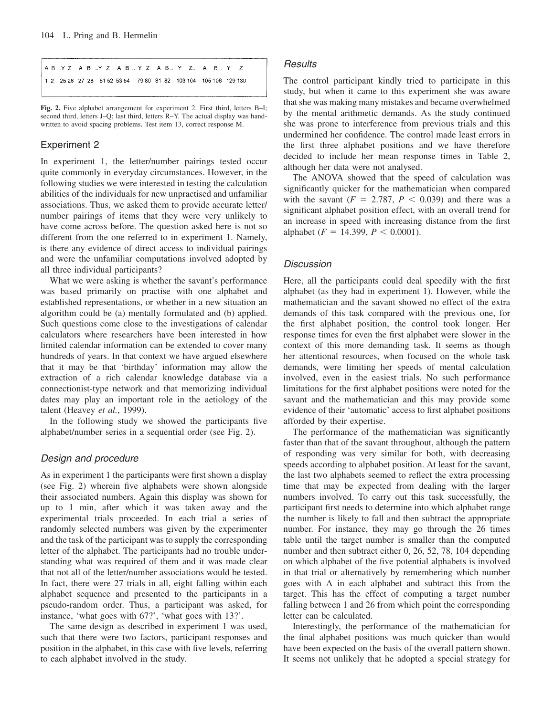**Fig. 2.** Five alphabet arrangement for experiment 2. First third, letters B–I; second third, letters J–Q; last third, letters R–Y. The actual display was handwritten to avoid spacing problems. Test item 13, correct response M.

## Experiment 2

In experiment 1, the letter/number pairings tested occur quite commonly in everyday circumstances. However, in the following studies we were interested in testing the calculation abilities of the individuals for new unpractised and unfamiliar associations. Thus, we asked them to provide accurate letter/ number pairings of items that they were very unlikely to have come across before. The question asked here is not so different from the one referred to in experiment 1. Namely, is there any evidence of direct access to individual pairings and were the unfamiliar computations involved adopted by all three individual participants?

What we were asking is whether the savant's performance was based primarily on practise with one alphabet and established representations, or whether in a new situation an algorithm could be (a) mentally formulated and (b) applied. Such questions come close to the investigations of calendar calculators where researchers have been interested in how limited calendar information can be extended to cover many hundreds of years. In that context we have argued elsewhere that it may be that 'birthday' information may allow the extraction of a rich calendar knowledge database via a connectionist-type network and that memorizing individual dates may play an important role in the aetiology of the talent (Heavey *et al.*, 1999).

In the following study we showed the participants five alphabet/number series in a sequential order (see Fig. 2).

#### *Design and procedure*

As in experiment 1 the participants were first shown a display (see Fig. 2) wherein five alphabets were shown alongside their associated numbers. Again this display was shown for up to 1 min, after which it was taken away and the experimental trials proceeded. In each trial a series of randomly selected numbers was given by the experimenter and the task of the participant was to supply the corresponding letter of the alphabet. The participants had no trouble understanding what was required of them and it was made clear that not all of the letter/number associations would be tested. In fact, there were 27 trials in all, eight falling within each alphabet sequence and presented to the participants in a pseudo-random order. Thus, a participant was asked, for instance, 'what goes with 67?', 'what goes with 13?'.

The same design as described in experiment 1 was used, such that there were two factors, participant responses and position in the alphabet, in this case with five levels, referring to each alphabet involved in the study.

### *Results*

The control participant kindly tried to participate in this study, but when it came to this experiment she was aware that she was making many mistakes and became overwhelmed by the mental arithmetic demands. As the study continued she was prone to interference from previous trials and this undermined her confidence. The control made least errors in the first three alphabet positions and we have therefore decided to include her mean response times in Table 2, although her data were not analysed.

The ANOVA showed that the speed of calculation was significantly quicker for the mathematician when compared with the savant  $(F = 2.787, P < 0.039)$  and there was a significant alphabet position effect, with an overall trend for an increase in speed with increasing distance from the first alphabet ( $F = 14.399$ ,  $P < 0.0001$ ).

## *Discussion*

Here, all the participants could deal speedily with the first alphabet (as they had in experiment 1). However, while the mathematician and the savant showed no effect of the extra demands of this task compared with the previous one, for the first alphabet position, the control took longer. Her response times for even the first alphabet were slower in the context of this more demanding task. It seems as though her attentional resources, when focused on the whole task demands, were limiting her speeds of mental calculation involved, even in the easiest trials. No such performance limitations for the first alphabet positions were noted for the savant and the mathematician and this may provide some evidence of their 'automatic' access to first alphabet positions afforded by their expertise.

The performance of the mathematician was significantly faster than that of the savant throughout, although the pattern of responding was very similar for both, with decreasing speeds according to alphabet position. At least for the savant, the last two alphabets seemed to reflect the extra processing time that may be expected from dealing with the larger numbers involved. To carry out this task successfully, the participant first needs to determine into which alphabet range the number is likely to fall and then subtract the appropriate number. For instance, they may go through the 26 times table until the target number is smaller than the computed number and then subtract either 0, 26, 52, 78, 104 depending on which alphabet of the five potential alphabets is involved in that trial or alternatively by remembering which number goes with A in each alphabet and subtract this from the target. This has the effect of computing a target number falling between 1 and 26 from which point the corresponding letter can be calculated.

Interestingly, the performance of the mathematician for the final alphabet positions was much quicker than would have been expected on the basis of the overall pattern shown. It seems not unlikely that he adopted a special strategy for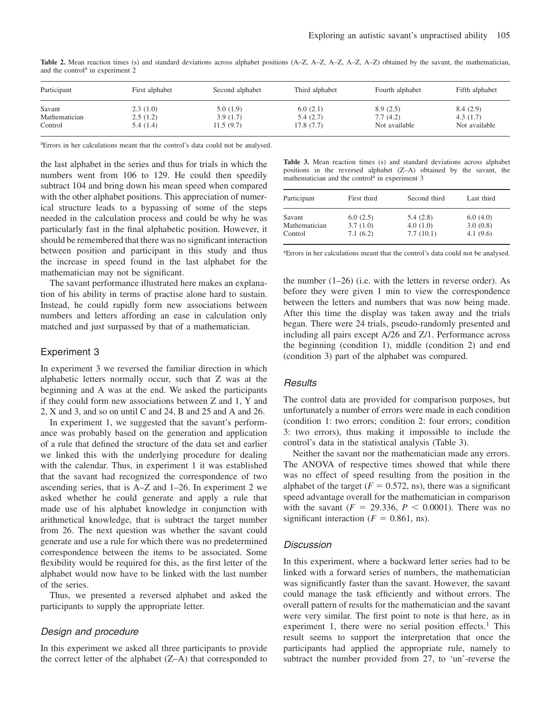| Participant   | First alphabet | Second alphabet | Third alphabet | Fourth alphabet | Fifth alphabet |
|---------------|----------------|-----------------|----------------|-----------------|----------------|
| Savant        | 2.3(1.0)       | 5.0(1.9)        | 6.0(2.1)       | 8.9(2.5)        | 8.4(2.9)       |
| Mathematician | 2.5(1.2)       | 3.9(1.7)        | 5.4(2.7)       | 7.7(4.2)        | 4.3(1.7)       |
| Control       | 5.4(1.4)       | 11.5(9.7)       | 17.8(7.7)      | Not available   | Not available  |

**Table 2.** Mean reaction times (s) and standard deviations across alphabet positions (A–Z, A–Z, A–Z, A–Z, A–Z) obtained by the savant, the mathematician, and the control<sup>a</sup> in experiment 2

a Errors in her calculations meant that the control's data could not be analysed.

the last alphabet in the series and thus for trials in which the numbers went from 106 to 129. He could then speedily subtract 104 and bring down his mean speed when compared with the other alphabet positions. This appreciation of numerical structure leads to a bypassing of some of the steps needed in the calculation process and could be why he was particularly fast in the final alphabetic position. However, it should be remembered that there was no significant interaction between position and participant in this study and thus the increase in speed found in the last alphabet for the mathematician may not be significant.

The savant performance illustrated here makes an explanation of his ability in terms of practise alone hard to sustain. Instead, he could rapidly form new associations between numbers and letters affording an ease in calculation only matched and just surpassed by that of a mathematician.

#### Experiment 3

In experiment 3 we reversed the familiar direction in which alphabetic letters normally occur, such that Z was at the beginning and A was at the end. We asked the participants if they could form new associations between Z and 1, Y and 2, X and 3, and so on until C and 24, B and 25 and A and 26.

In experiment 1, we suggested that the savant's performance was probably based on the generation and application of a rule that defined the structure of the data set and earlier we linked this with the underlying procedure for dealing with the calendar. Thus, in experiment 1 it was established that the savant had recognized the correspondence of two ascending series, that is A–Z and 1–26. In experiment 2 we asked whether he could generate and apply a rule that made use of his alphabet knowledge in conjunction with arithmetical knowledge, that is subtract the target number from 26. The next question was whether the savant could generate and use a rule for which there was no predetermined correspondence between the items to be associated. Some flexibility would be required for this, as the first letter of the alphabet would now have to be linked with the last number of the series.

Thus, we presented a reversed alphabet and asked the participants to supply the appropriate letter.

#### *Design and procedure*

In this experiment we asked all three participants to provide the correct letter of the alphabet (Z–A) that corresponded to

| <b>Table 3.</b> Mean reaction times (s) and standard deviations across alphabet |  |  |  |  |  |  |
|---------------------------------------------------------------------------------|--|--|--|--|--|--|
| positions in the reversed alphabet (Z-A) obtained by the savant, the            |  |  |  |  |  |  |
| mathematician and the control <sup>a</sup> in experiment 3                      |  |  |  |  |  |  |

| Participant   | First third | Second third | Last third  |  |
|---------------|-------------|--------------|-------------|--|
| Savant        | 6.0(2.5)    | 5.4(2.8)     | 6.0(4.0)    |  |
| Mathematician | 3.7(1.0)    | 4.0(1.0)     | 3.0(0.8)    |  |
| Control       | 7.1(6.2)    | 7.7(10.1)    | 4.1 $(9.6)$ |  |

a Errors in her calculations meant that the control's data could not be analysed.

the number  $(1–26)$  (i.e. with the letters in reverse order). As before they were given 1 min to view the correspondence between the letters and numbers that was now being made. After this time the display was taken away and the trials began. There were 24 trials, pseudo-randomly presented and including all pairs except A/26 and Z/1. Performance across the beginning (condition 1), middle (condition 2) and end (condition 3) part of the alphabet was compared.

#### *Results*

The control data are provided for comparison purposes, but unfortunately a number of errors were made in each condition (condition 1: two errors; condition 2: four errors; condition 3: two errors), thus making it impossible to include the control's data in the statistical analysis (Table 3).

Neither the savant nor the mathematician made any errors. The ANOVA of respective times showed that while there was no effect of speed resulting from the position in the alphabet of the target ( $F = 0.572$ , ns), there was a significant speed advantage overall for the mathematician in comparison with the savant  $(F = 29.336, P \le 0.0001)$ . There was no significant interaction ( $F = 0.861$ , ns).

#### *Discussion*

In this experiment, where a backward letter series had to be linked with a forward series of numbers, the mathematician was significantly faster than the savant. However, the savant could manage the task efficiently and without errors. The overall pattern of results for the mathematician and the savant were very similar. The first point to note is that here, as in experiment 1, there were no serial position effects.<sup>1</sup> This result seems to support the interpretation that once the participants had applied the appropriate rule, namely to subtract the number provided from 27, to 'un'-reverse the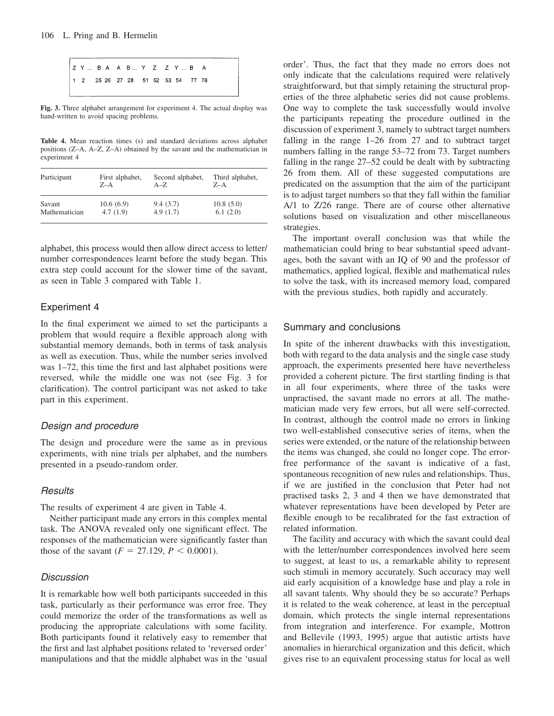

**Fig. 3.** Three alphabet arrangement for experiment 4. The actual display was hand-written to avoid spacing problems.

**Table 4.** Mean reaction times (s) and standard deviations across alphabet positions (Z–A, A–Z, Z–A) obtained by the savant and the mathematician in experiment 4

| Participant   | First alphabet, | Second alphabet, | Third alphabet, |
|---------------|-----------------|------------------|-----------------|
|               | $Z-A$           | $A - Z$          | $Z-A$           |
| Savant        | 10.6(6.9)       | 9.4(3.7)         | 10.8(5.0)       |
| Mathematician | 4.7(1.9)        | 4.9(1.7)         | 6.1(2.0)        |

alphabet, this process would then allow direct access to letter/ number correspondences learnt before the study began. This extra step could account for the slower time of the savant, as seen in Table 3 compared with Table 1.

## Experiment 4

In the final experiment we aimed to set the participants a problem that would require a flexible approach along with substantial memory demands, both in terms of task analysis as well as execution. Thus, while the number series involved was 1–72, this time the first and last alphabet positions were reversed, while the middle one was not (see Fig. 3 for clarification). The control participant was not asked to take part in this experiment.

#### *Design and procedure*

The design and procedure were the same as in previous experiments, with nine trials per alphabet, and the numbers presented in a pseudo-random order.

# *Results*

The results of experiment 4 are given in Table 4.

Neither participant made any errors in this complex mental task. The ANOVA revealed only one significant effect. The responses of the mathematician were significantly faster than those of the savant  $(F = 27.129, P < 0.0001)$ .

#### *Discussion*

It is remarkable how well both participants succeeded in this task, particularly as their performance was error free. They could memorize the order of the transformations as well as producing the appropriate calculations with some facility. Both participants found it relatively easy to remember that the first and last alphabet positions related to 'reversed order' manipulations and that the middle alphabet was in the 'usual order'. Thus, the fact that they made no errors does not only indicate that the calculations required were relatively straightforward, but that simply retaining the structural properties of the three alphabetic series did not cause problems. One way to complete the task successfully would involve the participants repeating the procedure outlined in the discussion of experiment 3, namely to subtract target numbers falling in the range 1–26 from 27 and to subtract target numbers falling in the range 53–72 from 73. Target numbers falling in the range 27–52 could be dealt with by subtracting 26 from them. All of these suggested computations are predicated on the assumption that the aim of the participant is to adjust target numbers so that they fall within the familiar A/1 to Z/26 range. There are of course other alternative solutions based on visualization and other miscellaneous strategies.

The important overall conclusion was that while the mathematician could bring to bear substantial speed advantages, both the savant with an IQ of 90 and the professor of mathematics, applied logical, flexible and mathematical rules to solve the task, with its increased memory load, compared with the previous studies, both rapidly and accurately.

## Summary and conclusions

In spite of the inherent drawbacks with this investigation, both with regard to the data analysis and the single case study approach, the experiments presented here have nevertheless provided a coherent picture. The first startling finding is that in all four experiments, where three of the tasks were unpractised, the savant made no errors at all. The mathematician made very few errors, but all were self-corrected. In contrast, although the control made no errors in linking two well-established consecutive series of items, when the series were extended, or the nature of the relationship between the items was changed, she could no longer cope. The errorfree performance of the savant is indicative of a fast, spontaneous recognition of new rules and relationships. Thus, if we are justified in the conclusion that Peter had not practised tasks 2, 3 and 4 then we have demonstrated that whatever representations have been developed by Peter are flexible enough to be recalibrated for the fast extraction of related information.

The facility and accuracy with which the savant could deal with the letter/number correspondences involved here seem to suggest, at least to us, a remarkable ability to represent such stimuli in memory accurately. Such accuracy may well aid early acquisition of a knowledge base and play a role in all savant talents. Why should they be so accurate? Perhaps it is related to the weak coherence, at least in the perceptual domain, which protects the single internal representations from integration and interference. For example, Mottron and Bellevile (1993, 1995) argue that autistic artists have anomalies in hierarchical organization and this deficit, which gives rise to an equivalent processing status for local as well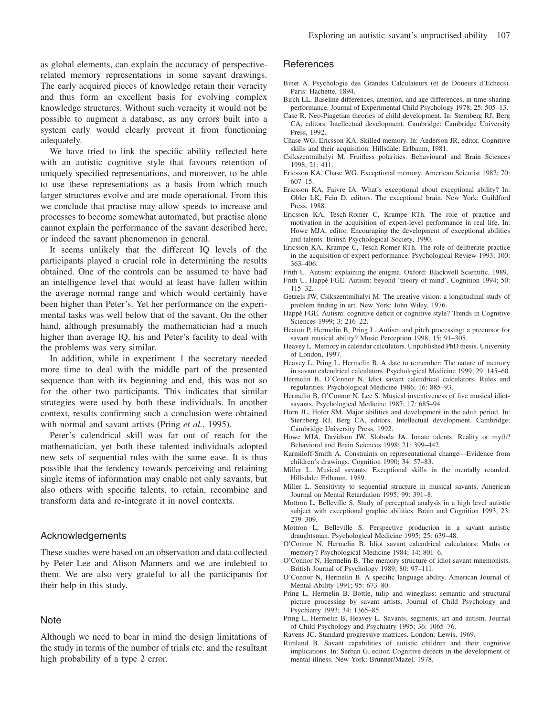as global elements, can explain the accuracy of perspectiverelated memory representations in some savant drawings. The early acquired pieces of knowledge retain their veracity and thus form an excellent basis for evolving complex knowledge structures. Without such veracity it would not be possible to augment a database, as any errors built into a system early would clearly prevent it from functioning adequately.

We have tried to link the specific ability reflected here with an autistic cognitive style that favours retention of uniquely specified representations, and moreover, to be able to use these representations as a basis from which much larger structures evolve and are made operational. From this we conclude that practise may allow speeds to increase and processes to become somewhat automated, but practise alone cannot explain the performance of the savant described here, or indeed the savant phenomenon in general.

It seems unlikely that the different IQ levels of the participants played a crucial role in determining the results obtained. One of the controls can be assumed to have had an intelligence level that would at least have fallen within the average normal range and which would certainly have been higher than Peter's. Yet her performance on the experimental tasks was well below that of the savant. On the other hand, although presumably the mathematician had a much higher than average IQ, his and Peter's facility to deal with the problems was very similar.

In addition, while in experiment 1 the secretary needed more time to deal with the middle part of the presented sequence than with its beginning and end, this was not so for the other two participants. This indicates that similar strategies were used by both these individuals. In another context, results confirming such a conclusion were obtained with normal and savant artists (Pring *et al.*, 1995).

Peter's calendrical skill was far out of reach for the mathematician, yet both these talented individuals adopted new sets of sequential rules with the same ease. It is thus possible that the tendency towards perceiving and retaining single items of information may enable not only savants, but also others with specific talents, to retain, recombine and transform data and re-integrate it in novel contexts.

# Acknowledgements

These studies were based on an observation and data collected by Peter Lee and Alison Manners and we are indebted to them. We are also very grateful to all the participants for their help in this study.

#### **Note**

Although we need to bear in mind the design limitations of the study in terms of the number of trials etc. and the resultant high probability of a type 2 error.

#### **References**

- Binet A. Psychologie des Grandes Calculateurs (et de Doueurs d'Echecs). Paris: Hachette, 1894.
- Birch LL. Baseline differences, attention, and age differences, in time-sharing performance. Journal of Experimental Child Psychology 1978; 25: 505–13.
- Case R. Neo-Piagetian theories of child development. In: Sternberg RJ, Berg CA, editors. Intellectual development. Cambridge: Cambridge University Press, 1992.
- Chase WG, Ericsson KA. Skilled memory. In: Anderson JR, editor. Cognitive skills and their acquisition. Hillsdale: Erlbaum, 1981.
- Csikszentmihalyi M. Fruitless polarities. Behavioural and Brain Sciences 1998; 21: 411.
- Ericsson KA, Chase WG. Exceptional memory. American Scientist 1982; 70: 607–15.
- Ericsson KA, Faivre IA. What's exceptional about exceptional ability? In: Obler LK, Fein D, editors. The exceptional brain. New York: Guildford Press, 1988.
- Ericsson KA, Tesch-Romer C, Krampe RTh. The role of practice and motivation in the acquisition of expert-level performance in real life. In: Howe MJA, editor. Encouraging the development of exceptional abilities and talents. British Psychological Society, 1990.
- Ericsson KA, Krampe C, Tesch-Romer RTh. The role of deliberate practice in the acquisition of expert performance. Psychological Review 1993; 100: 363–406.
- Frith U. Autism: explaining the enigma. Oxford: Blackwell Scientific, 1989.
- Frith U, Happé FGE. Autism: beyond 'theory of mind'. Cognition 1994; 50: 115–32.
- Getzels JW, Csikszentmihalyi M. The creative vision: a longitudinal study of problem finding in art. New York: John Wiley, 1976.
- Happé FGE. Autism: cognitive deficit or cognitive style? Trends in Cognitive Sciences 1999; 3: 216–22.
- Heaton P, Hermelin B, Pring L. Autism and pitch processing: a precursor for savant musical ability? Music Perception 1998; 15: 91–305.
- Heavey L. Memory in calendar calculators. Unpublished PhD thesis. University of London, 1997.
- Heavey L, Pring L, Hermelin B. A date to remember: The nature of memory in savant calendrical calculators. Psychological Medicine 1999; 29: 145–60.

Hermelin B, O'Connor N. Idiot savant calendrical calculators: Rules and regularities. Psychological Medicine 1986; 16: 885–93.

- Hermelin B, O'Connor N, Lee S. Musical inventiveness of five musical idiotsavants. Psychological Medicine 1987; 17: 685–94.
- Horn JL, Hofer SM. Major abilities and development in the adult period. In: Sternberg RJ, Berg CA, editors. Intellectual development. Cambridge: Cambridge University Press, 1992.
- Howe MJA, Davidson JW, Sloboda JA. Innate talents: Reality or myth? Behavioral and Brain Sciences 1998; 21: 399–442.
- Karmiloff-Smith A. Constraints on representational change—Evidence from children's drawings. Cognition 1990; 34: 57–83.
- Miller L. Musical savants: Exceptional skills in the mentally retarded. Hillsdale: Erlbaum, 1989.
- Miller L. Sensitivity to sequential structure in musical savants. American Journal on Mental Retardation 1995; 99: 391–8.
- Mottron L, Belleville S. Study of perceptual analysis in a high level autistic subject with exceptional graphic abilities. Brain and Cognition 1993; 23: 279–309.
- Mottron L, Belleville S. Perspective production in a savant autistic draughtsman. Psychological Medicine 1995; 25: 639–48.
- O'Connor N, Hermelin B. Idiot savant calendrical calculators: Maths or memory? Psychological Medicine 1984; 14: 801–6.
- O'Connor N, Hermelin B. The memory structure of idiot-savant mnemonists. British Journal of Psychology 1989; 80: 97–111.
- O'Connor N, Hermelin B. A specific language ability. American Journal of Mental Ability 1991; 95: 673–80.
- Pring L, Hermelin B. Bottle, tulip and wineglass: semantic and structural picture processing by savant artists. Journal of Child Psychology and Psychiatry 1993; 34: 1365–85.
- Pring L, Hermelin B, Heavey L. Savants, segments, art and autism. Journal of Child Psychology and Psychiatry 1995; 36: 1065–76.
- Ravens JC. Standard progressive matrices. London: Lewis, 1969.
- Rimland B. Savant capabilities of autistic children and their cognitive implications. In: Serban G, editor. Cognitive defects in the development of mental illness. New York: Brunner/Mazel, 1978.